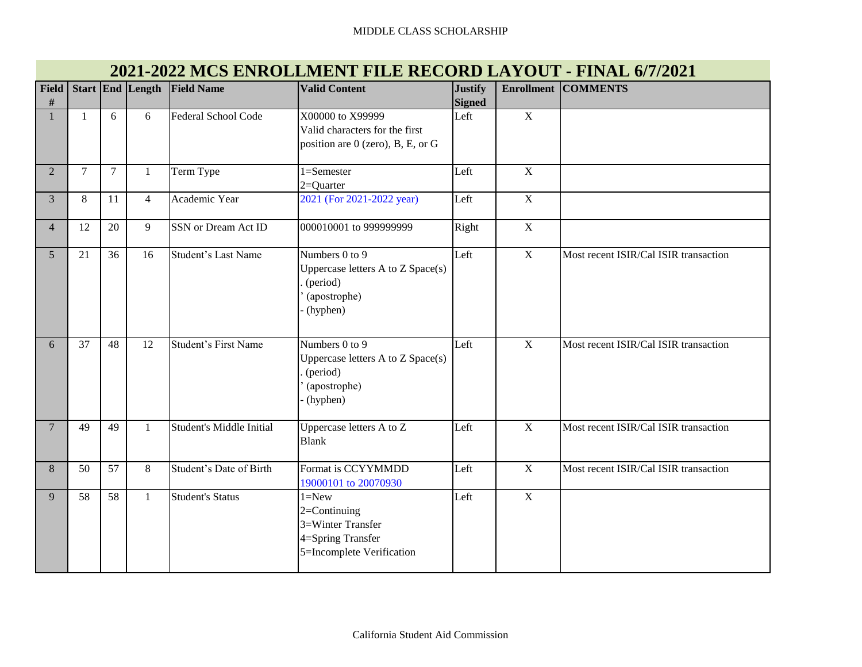| $\#$            |                |                | Field Start End Length | <b>Field Name</b>               | <b>Valid Content</b>                                                                                 | <b>Justify</b><br><b>Signed</b> | <b>Enrollment</b> | <b>COMMENTS</b>                       |
|-----------------|----------------|----------------|------------------------|---------------------------------|------------------------------------------------------------------------------------------------------|---------------------------------|-------------------|---------------------------------------|
|                 | 1              | 6              | 6                      | <b>Federal School Code</b>      | X00000 to X99999<br>Valid characters for the first<br>position are 0 (zero), B, E, or G              | Left                            | $\mathbf X$       |                                       |
| $\overline{2}$  | $\overline{7}$ | $\overline{7}$ | $\mathbf{1}$           | Term Type                       | $\overline{1}$ =Semester<br>$2=Quarter$                                                              | Left                            | $\mathbf X$       |                                       |
| 3               | $8\,$          | 11             | $\overline{4}$         | Academic Year                   | 2021 (For 2021-2022 year)                                                                            | Left                            | $\mathbf X$       |                                       |
| $\overline{4}$  | 12             | 20             | 9                      | SSN or Dream Act ID             | 000010001 to 999999999                                                                               | Right                           | $\mathbf X$       |                                       |
| 5               | 21             | 36             | 16                     | Student's Last Name             | Numbers $0$ to $9$<br>Uppercase letters A to Z Space(s)<br>(period)<br>(apostrophe)<br>(hyphen)      | Left                            | $\overline{X}$    | Most recent ISIR/Cal ISIR transaction |
| 6               | 37             | 48             | 12                     | <b>Student's First Name</b>     | Numbers 0 to 9<br>Uppercase letters A to Z Space(s)<br>(period)<br>(apostrophe)<br>(hyphen)          | Left                            | $\mathbf X$       | Most recent ISIR/Cal ISIR transaction |
| $7\phantom{.0}$ | 49             | 49             | $\mathbf{1}$           | <b>Student's Middle Initial</b> | Uppercase letters A to Z<br><b>Blank</b>                                                             | Left                            | $\mathbf X$       | Most recent ISIR/Cal ISIR transaction |
| $8\,$           | 50             | 57             | 8                      | Student's Date of Birth         | Format is CCYYMMDD<br>19000101 to 20070930                                                           | Left                            | $\mathbf X$       | Most recent ISIR/Cal ISIR transaction |
| 9               | 58             | 58             | $\mathbf{1}$           | <b>Student's Status</b>         | $1 = New$<br>$2 = Continuing$<br>3=Winter Transfer<br>4=Spring Transfer<br>5=Incomplete Verification | Left                            | $\mathbf X$       |                                       |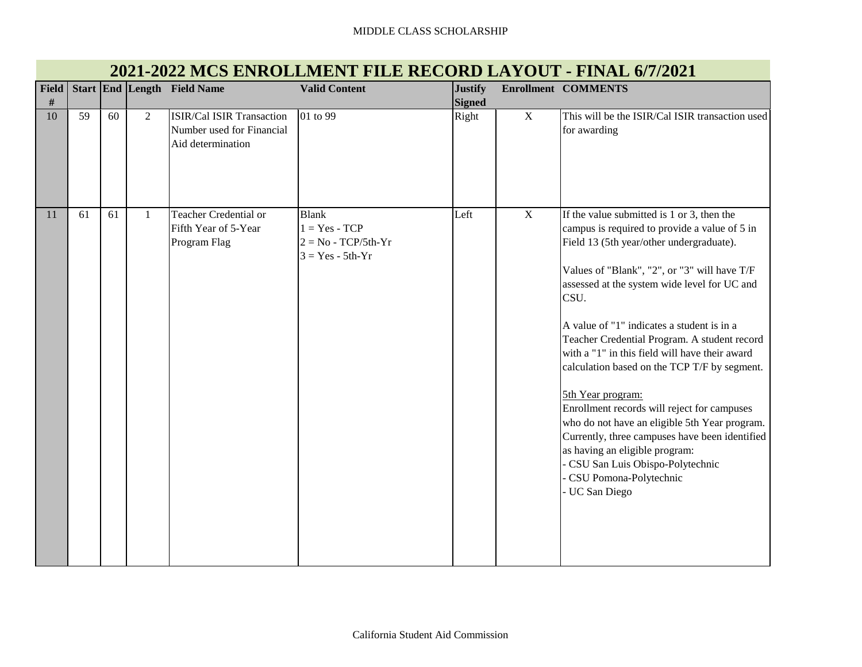#### MIDDLE CLASS SCHOLARSHIP

| <b>Field</b><br># |    |    |                | Start End Length Field Name                                                        | <b>Valid Content</b>                                                           | <b>Justify</b><br><b>Signed</b> |              | <b>Enrollment COMMENTS</b>                                                                                                                                                                                                                                                                                                                                                                                                                                                                                                                                                                                                                                                                                                              |
|-------------------|----|----|----------------|------------------------------------------------------------------------------------|--------------------------------------------------------------------------------|---------------------------------|--------------|-----------------------------------------------------------------------------------------------------------------------------------------------------------------------------------------------------------------------------------------------------------------------------------------------------------------------------------------------------------------------------------------------------------------------------------------------------------------------------------------------------------------------------------------------------------------------------------------------------------------------------------------------------------------------------------------------------------------------------------------|
| 10                | 59 | 60 | $\overline{2}$ | <b>ISIR/Cal ISIR Transaction</b><br>Number used for Financial<br>Aid determination | 01 to 99                                                                       | Right                           | $\mathbf X$  | This will be the ISIR/Cal ISIR transaction used<br>for awarding                                                                                                                                                                                                                                                                                                                                                                                                                                                                                                                                                                                                                                                                         |
| 11                | 61 | 61 | $\mathbf{1}$   | Teacher Credential or<br>Fifth Year of 5-Year<br>Program Flag                      | <b>Blank</b><br>$1 = Yes - TCP$<br>$2 = No - TCP/5th-Yr$<br>$3 = Yes - 5th-Yr$ | Left                            | $\mathbf{X}$ | If the value submitted is 1 or 3, then the<br>campus is required to provide a value of 5 in<br>Field 13 (5th year/other undergraduate).<br>Values of "Blank", "2", or "3" will have T/F<br>assessed at the system wide level for UC and<br>CSU.<br>A value of "1" indicates a student is in a<br>Teacher Credential Program. A student record<br>with a "1" in this field will have their award<br>calculation based on the TCP T/F by segment.<br>5th Year program:<br>Enrollment records will reject for campuses<br>who do not have an eligible 5th Year program.<br>Currently, three campuses have been identified<br>as having an eligible program:<br>CSU San Luis Obispo-Polytechnic<br>CSU Pomona-Polytechnic<br>- UC San Diego |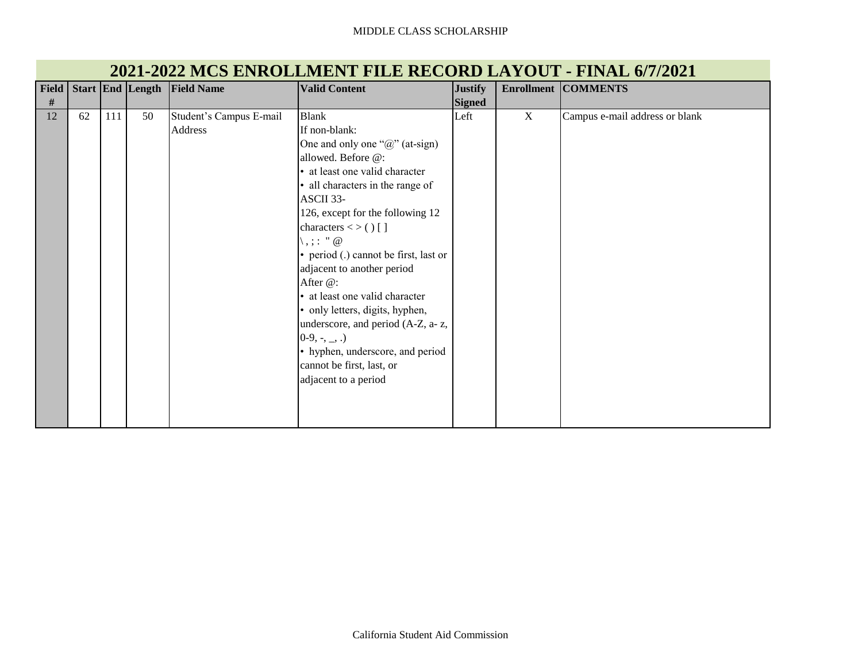#### MIDDLE CLASS SCHOLARSHIP

| <b>Field</b> |    |     | Start End Length | <b>Field Name</b>       | <b>Valid Content</b>                  | <b>Justify</b> |   | <b>Enrollment COMMENTS</b>     |
|--------------|----|-----|------------------|-------------------------|---------------------------------------|----------------|---|--------------------------------|
| $\#$         |    |     |                  |                         |                                       | <b>Signed</b>  |   |                                |
| 12           | 62 | 111 | 50               | Student's Campus E-mail | <b>Blank</b>                          | Left           | X | Campus e-mail address or blank |
|              |    |     |                  | Address                 | If non-blank:                         |                |   |                                |
|              |    |     |                  |                         | One and only one " $@$ " (at-sign)    |                |   |                                |
|              |    |     |                  |                         | allowed. Before @:                    |                |   |                                |
|              |    |     |                  |                         | • at least one valid character        |                |   |                                |
|              |    |     |                  |                         | • all characters in the range of      |                |   |                                |
|              |    |     |                  |                         | ASCII 33-                             |                |   |                                |
|              |    |     |                  |                         | 126, except for the following 12      |                |   |                                |
|              |    |     |                  |                         | characters $\lt$ > () []              |                |   |                                |
|              |    |     |                  |                         | $\langle , \rangle$ : " $\omega$      |                |   |                                |
|              |    |     |                  |                         | • period (.) cannot be first, last or |                |   |                                |
|              |    |     |                  |                         | adjacent to another period            |                |   |                                |
|              |    |     |                  |                         | After @:                              |                |   |                                |
|              |    |     |                  |                         | • at least one valid character        |                |   |                                |
|              |    |     |                  |                         | • only letters, digits, hyphen,       |                |   |                                |
|              |    |     |                  |                         | underscore, and period (A-Z, a-z,     |                |   |                                |
|              |    |     |                  |                         | $0-9, -, \_$ .)                       |                |   |                                |
|              |    |     |                  |                         | • hyphen, underscore, and period      |                |   |                                |
|              |    |     |                  |                         | cannot be first, last, or             |                |   |                                |
|              |    |     |                  |                         | adjacent to a period                  |                |   |                                |
|              |    |     |                  |                         |                                       |                |   |                                |
|              |    |     |                  |                         |                                       |                |   |                                |
|              |    |     |                  |                         |                                       |                |   |                                |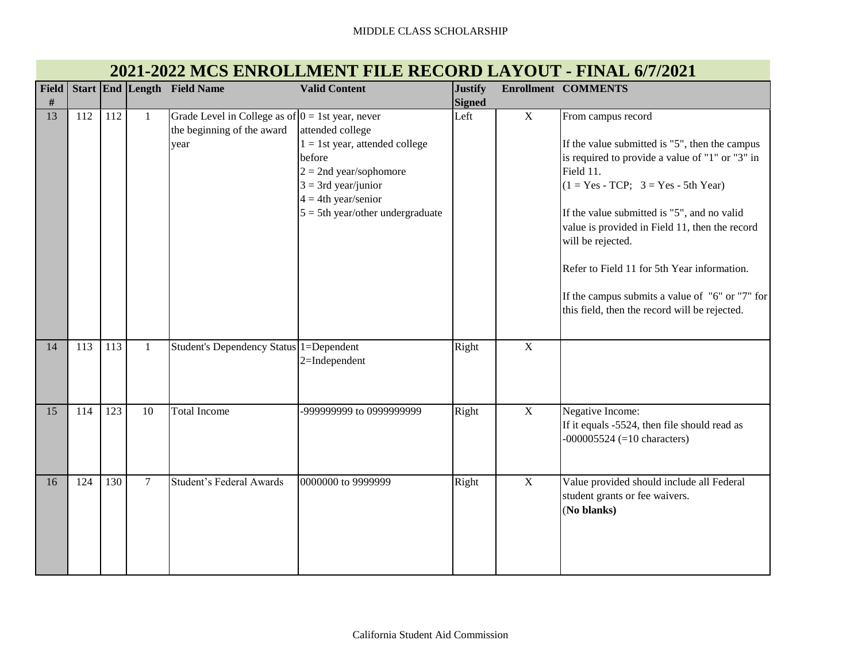| <b>Field</b> |     |     |                | Start End Length Field Name                                                               | <b>Valid Content</b>                                                                                                                                                                   | <b>Justify</b> |             | <b>Enrollment COMMENTS</b>                                                                                                                                                                                                                                                                                                                                                                                                                             |
|--------------|-----|-----|----------------|-------------------------------------------------------------------------------------------|----------------------------------------------------------------------------------------------------------------------------------------------------------------------------------------|----------------|-------------|--------------------------------------------------------------------------------------------------------------------------------------------------------------------------------------------------------------------------------------------------------------------------------------------------------------------------------------------------------------------------------------------------------------------------------------------------------|
| #            |     |     |                |                                                                                           |                                                                                                                                                                                        | <b>Signed</b>  |             |                                                                                                                                                                                                                                                                                                                                                                                                                                                        |
| 13           | 112 | 112 | $\mathbf{1}$   | Grade Level in College as of $0 = 1$ st year, never<br>the beginning of the award<br>year | attended college<br>$1 = 1$ st year, attended college<br>before<br>$2 = 2$ nd year/sophomore<br>$3 = 3rd$ year/junior<br>$4 = 4$ th year/senior<br>$5 = 5$ th year/other undergraduate | Left           | $\mathbf X$ | From campus record<br>If the value submitted is "5", then the campus<br>is required to provide a value of "1" or "3" in<br>Field 11.<br>$(1 = Yes - TCP; 3 = Yes - 5th Year)$<br>If the value submitted is "5", and no valid<br>value is provided in Field 11, then the record<br>will be rejected.<br>Refer to Field 11 for 5th Year information.<br>If the campus submits a value of "6" or "7" for<br>this field, then the record will be rejected. |
| 14           | 113 | 113 | $\mathbf{1}$   | Student's Dependency Status 1=Dependent                                                   | 2=Independent                                                                                                                                                                          | Right          | $\mathbf X$ |                                                                                                                                                                                                                                                                                                                                                                                                                                                        |
| 15           | 114 | 123 | 10             | <b>Total Income</b>                                                                       | -999999999 to 0999999999                                                                                                                                                               | Right          | $\mathbf X$ | Negative Income:<br>If it equals -5524, then file should read as<br>$-000005524 (=10$ characters)                                                                                                                                                                                                                                                                                                                                                      |
| 16           | 124 | 130 | $\overline{7}$ | <b>Student's Federal Awards</b>                                                           | 0000000 to 9999999                                                                                                                                                                     | Right          | $\mathbf X$ | Value provided should include all Federal<br>student grants or fee waivers.<br>(No blanks)                                                                                                                                                                                                                                                                                                                                                             |